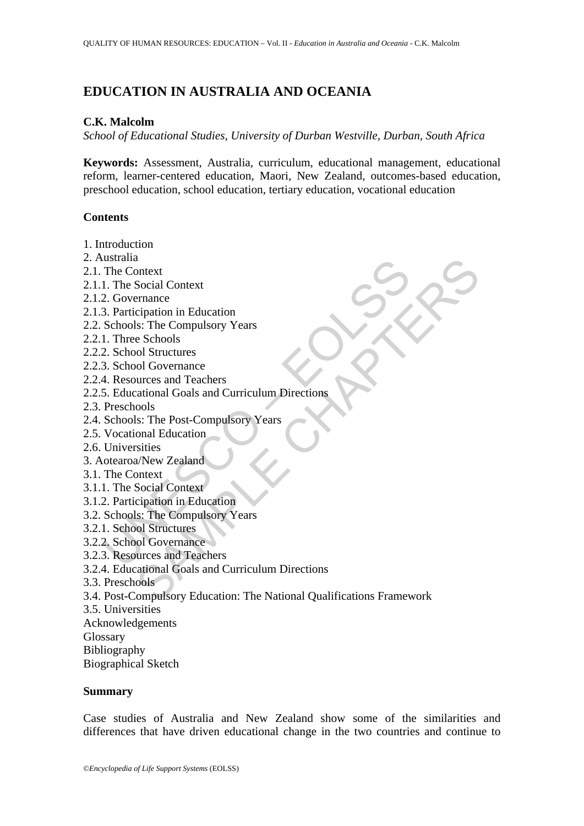# **EDUCATION IN AUSTRALIA AND OCEANIA**

#### **C.K. Malcolm**

*School of Educational Studies, University of Durban Westville, Durban, South Africa* 

**Keywords:** Assessment, Australia, curriculum, educational management, educational reform, learner-centered education, Maori, New Zealand, outcomes-based education, preschool education, school education, tertiary education, vocational education

### **Contents**

- 1. Introduction
- 2. Australia
- 2.1. The Context
- 2.1.1. The Social Context
- 2.1.2. Governance
- 2.1.3. Participation in Education
- 2.2. Schools: The Compulsory Years
- 2.2.1. Three Schools
- 2.2.2. School Structures
- 2.2.3. School Governance
- 2.2.4. Resources and Teachers
- Usualia<br>
The Context<br>
1. The Social Context<br>
2. Governance<br>
3. Participation in Education<br>
Schools: The Compulsory Years<br>
2. School Structures<br>
3. School Governance<br>
4. Resources and Teachers<br>
5. Educational Goals and Curr 2.2.5. Educational Goals and Curriculum Directions
- 2.3. Preschools
- 2.4. Schools: The Post-Compulsory Years
- 2.5. Vocational Education
- 2.6. Universities
- 3. Aotearoa/New Zealand
- 3.1. The Context
- 3.1.1. The Social Context
- 3.1.2. Participation in Education
- 3.2. Schools: The Compulsory Years
- 3.2.1. School Structures
- 3.2.2. School Governance
- 3.2.3. Resources and Teachers
- 3.2.4. Educational Goals and Curriculum Directions
- 3.3. Preschools
- a<br>
Social Context<br>
escription in Education<br>
eignation in Education<br>
eignation in Education<br>
eschools<br>
eschools<br>
ources and Teachers<br>
eurces and Teachers<br>
attional Goals and Curriculum Directions<br>
sister<br>
station<br>
condition 3.4. Post-Compulsory Education: The National Qualifications Framework
- 3.5. Universities
- Acknowledgements
- **Glossary**
- Bibliography
- Biographical Sketch

#### **Summary**

Case studies of Australia and New Zealand show some of the similarities and differences that have driven educational change in the two countries and continue to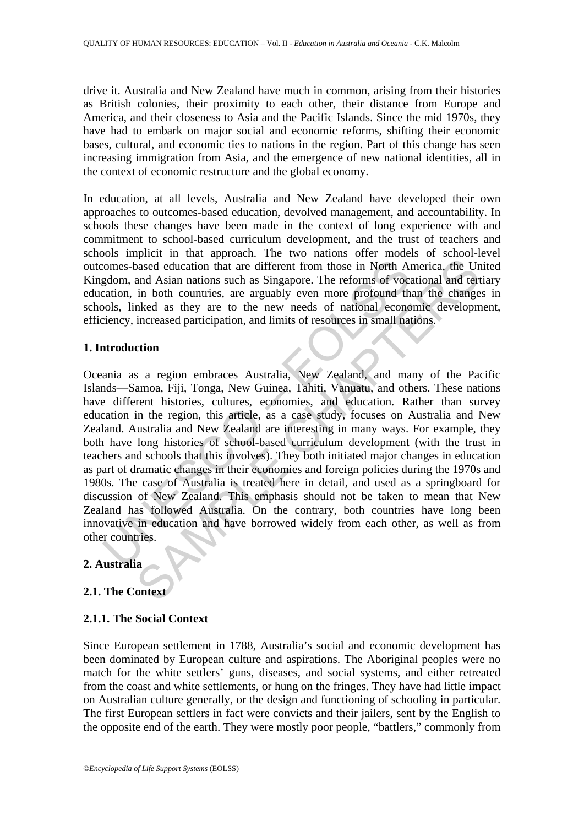drive it. Australia and New Zealand have much in common, arising from their histories as British colonies, their proximity to each other, their distance from Europe and America, and their closeness to Asia and the Pacific Islands. Since the mid 1970s, they have had to embark on major social and economic reforms, shifting their economic bases, cultural, and economic ties to nations in the region. Part of this change has seen increasing immigration from Asia, and the emergence of new national identities, all in the context of economic restructure and the global economy.

In education, at all levels, Australia and New Zealand have developed their own approaches to outcomes-based education, devolved management, and accountability. In schools these changes have been made in the context of long experience with and commitment to school-based curriculum development, and the trust of teachers and schools implicit in that approach. The two nations offer models of school-level outcomes-based education that are different from those in North America, the United Kingdom, and Asian nations such as Singapore. The reforms of vocational and tertiary education, in both countries, are arguably even more profound than the changes in schools, linked as they are to the new needs of national economic development, efficiency, increased participation, and limits of resources in small nations.

## **1. Introduction**

comes-based education that are different from those in North Anaron comes-based education that are different from those in North Anaron and Asian nations such as Singapore. The reforms of vocation, in both countries, are a about that are different from those in North America, the Urand Asian nations such as Singapore. The reforms of vocational and term in both countries, are arguably even more profound than the change increased participation Oceania as a region embraces Australia, New Zealand, and many of the Pacific Islands—Samoa, Fiji, Tonga, New Guinea, Tahiti, Vanuatu, and others. These nations have different histories, cultures, economies, and education. Rather than survey education in the region, this article, as a case study, focuses on Australia and New Zealand. Australia and New Zealand are interesting in many ways. For example, they both have long histories of school-based curriculum development (with the trust in teachers and schools that this involves). They both initiated major changes in education as part of dramatic changes in their economies and foreign policies during the 1970s and 1980s. The case of Australia is treated here in detail, and used as a springboard for discussion of New Zealand. This emphasis should not be taken to mean that New Zealand has followed Australia. On the contrary, both countries have long been innovative in education and have borrowed widely from each other, as well as from other countries.

## **2. Australia**

## **2.1. The Context**

## **2.1.1. The Social Context**

Since European settlement in 1788, Australia's social and economic development has been dominated by European culture and aspirations. The Aboriginal peoples were no match for the white settlers' guns, diseases, and social systems, and either retreated from the coast and white settlements, or hung on the fringes. They have had little impact on Australian culture generally, or the design and functioning of schooling in particular. The first European settlers in fact were convicts and their jailers, sent by the English to the opposite end of the earth. They were mostly poor people, "battlers," commonly from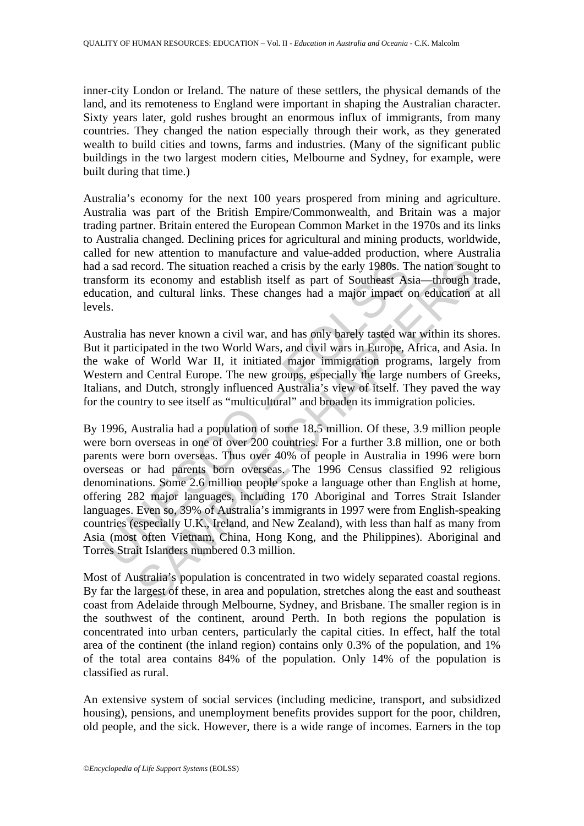inner-city London or Ireland. The nature of these settlers, the physical demands of the land, and its remoteness to England were important in shaping the Australian character. Sixty years later, gold rushes brought an enormous influx of immigrants, from many countries. They changed the nation especially through their work, as they generated wealth to build cities and towns, farms and industries. (Many of the significant public buildings in the two largest modern cities, Melbourne and Sydney, for example, were built during that time.)

Australia's economy for the next 100 years prospered from mining and agriculture. Australia was part of the British Empire/Commonwealth, and Britain was a major trading partner. Britain entered the European Common Market in the 1970s and its links to Australia changed. Declining prices for agricultural and mining products, worldwide, called for new attention to manufacture and value-added production, where Australia had a sad record. The situation reached a crisis by the early 1980s. The nation sought to transform its economy and establish itself as part of Southeast Asia—through trade, education, and cultural links. These changes had a major impact on education at all levels.

Australia has never known a civil war, and has only barely tasted war within its shores. But it participated in the two World Wars, and civil wars in Europe, Africa, and Asia. In the wake of World War II, it initiated major immigration programs, largely from Western and Central Europe. The new groups, especially the large numbers of Greeks, Italians, and Dutch, strongly influenced Australia's view of itself. They paved the way for the country to see itself as "multicultural" and broaden its immigration policies.

a sad record. The situation reached a crisis by the early 1980s. Tl<br>sform its economy and establish itself as part of Southeast As<br>atation, and cultural links. These changes had a major impact c<br>ls.<br>tralia has never known ecord. The situation reached a crisis by the early 1980s. The nation sough<br>tis economy and establish itself as part of Southeast Asia—through tr<br>and cultural links. These changes had a major impact on education a<br>as never By 1996, Australia had a population of some 18.5 million. Of these, 3.9 million people were born overseas in one of over 200 countries. For a further 3.8 million, one or both parents were born overseas. Thus over 40% of people in Australia in 1996 were born overseas or had parents born overseas. The 1996 Census classified 92 religious denominations. Some 2.6 million people spoke a language other than English at home, offering 282 major languages, including 170 Aboriginal and Torres Strait Islander languages. Even so, 39% of Australia's immigrants in 1997 were from English-speaking countries (especially U.K., Ireland, and New Zealand), with less than half as many from Asia (most often Vietnam, China, Hong Kong, and the Philippines). Aboriginal and Torres Strait Islanders numbered 0.3 million.

Most of Australia's population is concentrated in two widely separated coastal regions. By far the largest of these, in area and population, stretches along the east and southeast coast from Adelaide through Melbourne, Sydney, and Brisbane. The smaller region is in the southwest of the continent, around Perth. In both regions the population is concentrated into urban centers, particularly the capital cities. In effect, half the total area of the continent (the inland region) contains only 0.3% of the population, and 1% of the total area contains 84% of the population. Only 14% of the population is classified as rural.

An extensive system of social services (including medicine, transport, and subsidized housing), pensions, and unemployment benefits provides support for the poor, children, old people, and the sick. However, there is a wide range of incomes. Earners in the top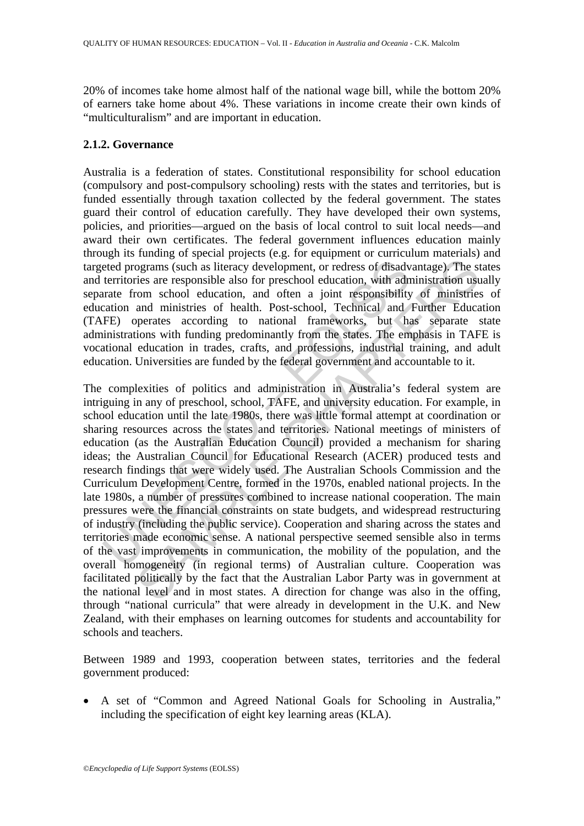20% of incomes take home almost half of the national wage bill, while the bottom 20% of earners take home about 4%. These variations in income create their own kinds of "multiculturalism" and are important in education.

### **2.1.2. Governance**

Australia is a federation of states. Constitutional responsibility for school education (compulsory and post-compulsory schooling) rests with the states and territories, but is funded essentially through taxation collected by the federal government. The states guard their control of education carefully. They have developed their own systems, policies, and priorities—argued on the basis of local control to suit local needs—and award their own certificates. The federal government influences education mainly through its funding of special projects (e.g. for equipment or curriculum materials) and targeted programs (such as literacy development, or redress of disadvantage). The states and territories are responsible also for preschool education, with administration usually separate from school education, and often a joint responsibility of ministries of education and ministries of health. Post-school, Technical and Further Education (TAFE) operates according to national frameworks, but has separate state administrations with funding predominantly from the states. The emphasis in TAFE is vocational education in trades, crafts, and professions, industrial training, and adult education. Universities are funded by the federal government and accountable to it.

eted programs (such as literacy development, or redress of disadv<br>territories are responsible also for preschool education, with adn<br>tracte from school education, and often a joint responsibility<br>cation and ministries of h Frame of the late proper and often in the members of disadvantage). The stocknary increass of disadvantage). The stics are responsible also for preschool education, with administration uso com school education, and often a The complexities of politics and administration in Australia's federal system are intriguing in any of preschool, school, TAFE, and university education. For example, in school education until the late 1980s, there was little formal attempt at coordination or sharing resources across the states and territories. National meetings of ministers of education (as the Australian Education Council) provided a mechanism for sharing ideas; the Australian Council for Educational Research (ACER) produced tests and research findings that were widely used. The Australian Schools Commission and the Curriculum Development Centre, formed in the 1970s, enabled national projects. In the late 1980s, a number of pressures combined to increase national cooperation. The main pressures were the financial constraints on state budgets, and widespread restructuring of industry (including the public service). Cooperation and sharing across the states and territories made economic sense. A national perspective seemed sensible also in terms of the vast improvements in communication, the mobility of the population, and the overall homogeneity (in regional terms) of Australian culture. Cooperation was facilitated politically by the fact that the Australian Labor Party was in government at the national level and in most states. A direction for change was also in the offing, through "national curricula" that were already in development in the U.K. and New Zealand, with their emphases on learning outcomes for students and accountability for schools and teachers.

Between 1989 and 1993, cooperation between states, territories and the federal government produced:

• A set of "Common and Agreed National Goals for Schooling in Australia," including the specification of eight key learning areas (KLA).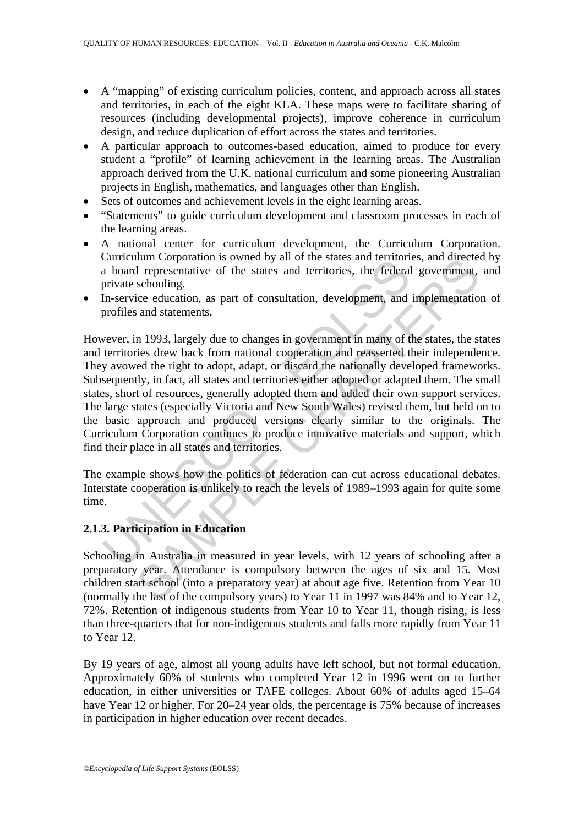- A "mapping" of existing curriculum policies, content, and approach across all states and territories, in each of the eight KLA. These maps were to facilitate sharing of resources (including developmental projects), improve coherence in curriculum design, and reduce duplication of effort across the states and territories.
- A particular approach to outcomes-based education, aimed to produce for every student a "profile" of learning achievement in the learning areas. The Australian approach derived from the U.K. national curriculum and some pioneering Australian projects in English, mathematics, and languages other than English.
- Sets of outcomes and achievement levels in the eight learning areas.
- "Statements" to guide curriculum development and classroom processes in each of the learning areas.
- A national center for curriculum development, the Curriculum Corporation. Curriculum Corporation is owned by all of the states and territories, and directed by a board representative of the states and territories, the federal government, and private schooling.
- In-service education, as part of consultation, development, and implementation of profiles and statements.

enfructure of the states and territories, the federal<br>a board representative of the states and territories, the federal<br>private schooling.<br>In-service education, as part of consultation, development, and<br>profiles and statem num Corporation is owned by all of the states and derintores, and directed<br>all representative of the states and territories, the federal government,<br>schooling.<br>ice education, as part of consultation, development, and imple However, in 1993, largely due to changes in government in many of the states, the states and territories drew back from national cooperation and reasserted their independence. They avowed the right to adopt, adapt, or discard the nationally developed frameworks. Subsequently, in fact, all states and territories either adopted or adapted them. The small states, short of resources, generally adopted them and added their own support services. The large states (especially Victoria and New South Wales) revised them, but held on to the basic approach and produced versions clearly similar to the originals. The Curriculum Corporation continues to produce innovative materials and support, which find their place in all states and territories.

The example shows how the politics of federation can cut across educational debates. Interstate cooperation is unlikely to reach the levels of 1989–1993 again for quite some time.

## **2.1.3. Participation in Education**

Schooling in Australia in measured in year levels, with 12 years of schooling after a preparatory year. Attendance is compulsory between the ages of six and 15. Most children start school (into a preparatory year) at about age five. Retention from Year 10 (normally the last of the compulsory years) to Year 11 in 1997 was 84% and to Year 12, 72%. Retention of indigenous students from Year 10 to Year 11, though rising, is less than three-quarters that for non-indigenous students and falls more rapidly from Year 11 to Year 12.

By 19 years of age, almost all young adults have left school, but not formal education. Approximately 60% of students who completed Year 12 in 1996 went on to further education, in either universities or TAFE colleges. About 60% of adults aged 15–64 have Year 12 or higher. For 20–24 year olds, the percentage is 75% because of increases in participation in higher education over recent decades.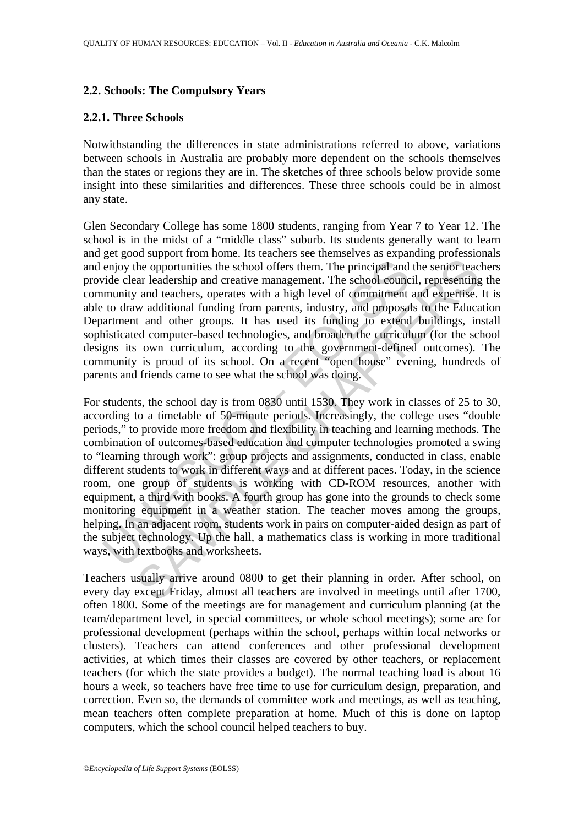#### **2.2. Schools: The Compulsory Years**

#### **2.2.1. Three Schools**

Notwithstanding the differences in state administrations referred to above, variations between schools in Australia are probably more dependent on the schools themselves than the states or regions they are in. The sketches of three schools below provide some insight into these similarities and differences. These three schools could be in almost any state.

Glen Secondary College has some 1800 students, ranging from Year 7 to Year 12. The school is in the midst of a "middle class" suburb. Its students generally want to learn and get good support from home. Its teachers see themselves as expanding professionals and enjoy the opportunities the school offers them. The principal and the senior teachers provide clear leadership and creative management. The school council, representing the community and teachers, operates with a high level of commitment and expertise. It is able to draw additional funding from parents, industry, and proposals to the Education Department and other groups. It has used its funding to extend buildings, install sophisticated computer-based technologies, and broaden the curriculum (for the school designs its own curriculum, according to the government-defined outcomes). The community is proud of its school. On a recent "open house" evening, hundreds of parents and friends came to see what the school was doing.

enjoy the opportunities the school offers them. The principal and<br>vide clear leadership and creative management. The school counc<br>munity and teachers, operates with a high level of commitment<br>to draw additional funding fro be experimental that contains the school offers them. The principal and the senior teacher opportunities the school offers them. The principal and the senior teacher and eachers, operates with a high level of commitment an For students, the school day is from 0830 until 1530. They work in classes of 25 to 30, according to a timetable of 50-minute periods. Increasingly, the college uses "double periods," to provide more freedom and flexibility in teaching and learning methods. The combination of outcomes-based education and computer technologies promoted a swing to "learning through work": group projects and assignments, conducted in class, enable different students to work in different ways and at different paces. Today, in the science room, one group of students is working with CD-ROM resources, another with equipment, a third with books. A fourth group has gone into the grounds to check some monitoring equipment in a weather station. The teacher moves among the groups, helping. In an adjacent room, students work in pairs on computer-aided design as part of the subject technology. Up the hall, a mathematics class is working in more traditional ways, with textbooks and worksheets.

Teachers usually arrive around 0800 to get their planning in order. After school, on every day except Friday, almost all teachers are involved in meetings until after 1700, often 1800. Some of the meetings are for management and curriculum planning (at the team/department level, in special committees, or whole school meetings); some are for professional development (perhaps within the school, perhaps within local networks or clusters). Teachers can attend conferences and other professional development activities, at which times their classes are covered by other teachers, or replacement teachers (for which the state provides a budget). The normal teaching load is about 16 hours a week, so teachers have free time to use for curriculum design, preparation, and correction. Even so, the demands of committee work and meetings, as well as teaching, mean teachers often complete preparation at home. Much of this is done on laptop computers, which the school council helped teachers to buy.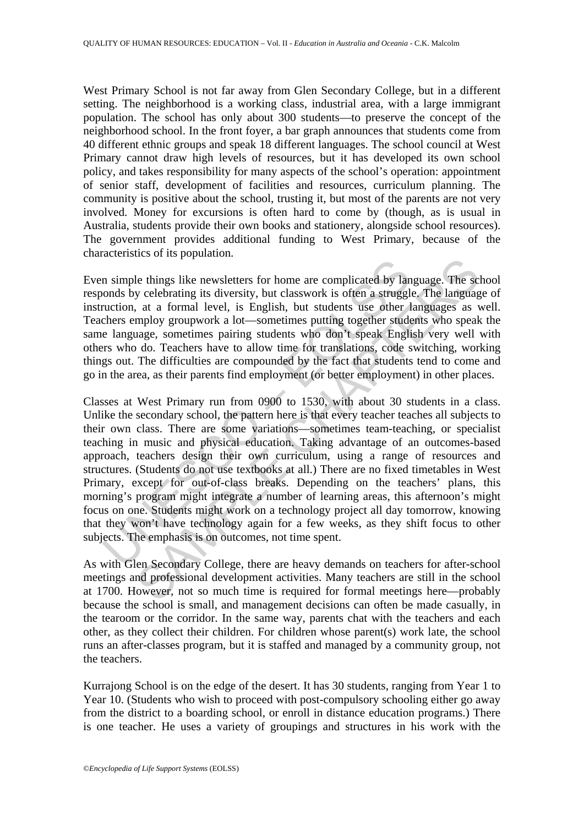West Primary School is not far away from Glen Secondary College, but in a different setting. The neighborhood is a working class, industrial area, with a large immigrant population. The school has only about 300 students—to preserve the concept of the neighborhood school. In the front foyer, a bar graph announces that students come from 40 different ethnic groups and speak 18 different languages. The school council at West Primary cannot draw high levels of resources, but it has developed its own school policy, and takes responsibility for many aspects of the school's operation: appointment of senior staff, development of facilities and resources, curriculum planning. The community is positive about the school, trusting it, but most of the parents are not very involved. Money for excursions is often hard to come by (though, as is usual in Australia, students provide their own books and stationery, alongside school resources). The government provides additional funding to West Primary, because of the characteristics of its population.

Even simple things like newsletters for home are complicated by language. The school responds by celebrating its diversity, but classwork is often a struggle. The language of instruction, at a formal level, is English, but students use other languages as well. Teachers employ groupwork a lot—sometimes putting together students who speak the same language, sometimes pairing students who don't speak English very well with others who do. Teachers have to allow time for translations, code switching, working things out. The difficulties are compounded by the fact that students tend to come and go in the area, as their parents find employment (or better employment) in other places.

In simple things like newsletters for home are complicated by land<br>nonds by celebrating its diversity, but classwork is often a struggl<br>nuction, at a formal level, is English, but students use other l<br>chers employ groupwor the state preparations are complicated by language. The scheme is the things like newsletters for home are complicated by language. The language at a tormal level, is English, but students use other languages as v mploy gr Classes at West Primary run from 0900 to 1530, with about 30 students in a class. Unlike the secondary school, the pattern here is that every teacher teaches all subjects to their own class. There are some variations—sometimes team-teaching, or specialist teaching in music and physical education. Taking advantage of an outcomes-based approach, teachers design their own curriculum, using a range of resources and structures. (Students do not use textbooks at all.) There are no fixed timetables in West Primary, except for out-of-class breaks. Depending on the teachers' plans, this morning's program might integrate a number of learning areas, this afternoon's might focus on one. Students might work on a technology project all day tomorrow, knowing that they won't have technology again for a few weeks, as they shift focus to other subjects. The emphasis is on outcomes, not time spent.

As with Glen Secondary College, there are heavy demands on teachers for after-school meetings and professional development activities. Many teachers are still in the school at 1700. However, not so much time is required for formal meetings here—probably because the school is small, and management decisions can often be made casually, in the tearoom or the corridor. In the same way, parents chat with the teachers and each other, as they collect their children. For children whose parent(s) work late, the school runs an after-classes program, but it is staffed and managed by a community group, not the teachers.

Kurrajong School is on the edge of the desert. It has 30 students, ranging from Year 1 to Year 10. (Students who wish to proceed with post-compulsory schooling either go away from the district to a boarding school, or enroll in distance education programs.) There is one teacher. He uses a variety of groupings and structures in his work with the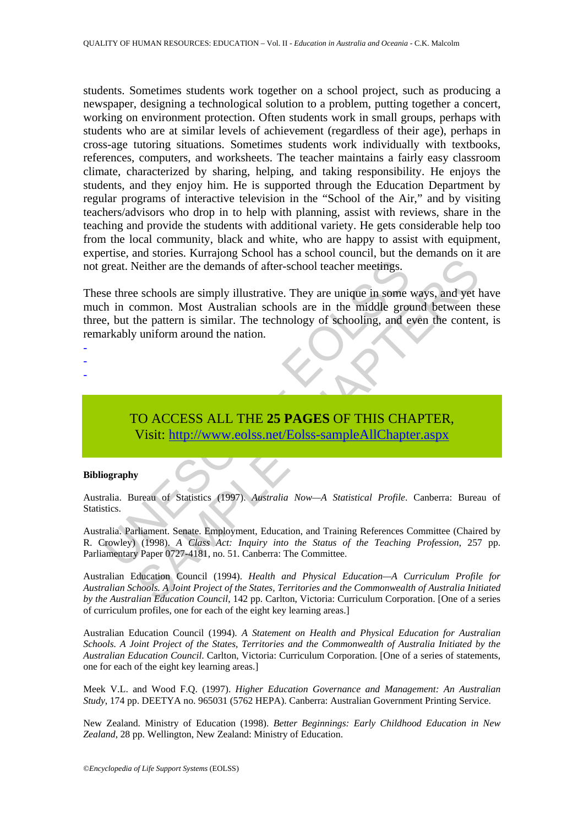students. Sometimes students work together on a school project, such as producing a newspaper, designing a technological solution to a problem, putting together a concert, working on environment protection. Often students work in small groups, perhaps with students who are at similar levels of achievement (regardless of their age), perhaps in cross-age tutoring situations. Sometimes students work individually with textbooks, references, computers, and worksheets. The teacher maintains a fairly easy classroom climate, characterized by sharing, helping, and taking responsibility. He enjoys the students, and they enjoy him. He is supported through the Education Department by regular programs of interactive television in the "School of the Air," and by visiting teachers/advisors who drop in to help with planning, assist with reviews, share in the teaching and provide the students with additional variety. He gets considerable help too from the local community, black and white, who are happy to assist with equipment, expertise, and stories. Kurrajong School has a school council, but the demands on it are not great. Neither are the demands of after-school teacher meetings.

great. Neither are the demands of after-school teacher meetings.<br>
se three schools are simply illustrative. They are unique in some v<br>
h in common. Most Australian schools are in the middle grote,<br>
but the pattern is simil Neither are the demands of after-school teacher meetings.<br>
Neither are the demands of after-school teacher meetings.<br> [E](https://www.eolss.net/ebooklib/sc_cart.aspx?File=E1-12-04-08)xchools are simply illustrative. They are unique in some ways, and yet if<br>
the pattern is similar. The These three schools are simply illustrative. They are unique in some ways, and yet have much in common. Most Australian schools are in the middle ground between these three, but the pattern is similar. The technology of schooling, and even the content, is remarkably uniform around the nation.

- -
- -
- -

TO ACCESS ALL THE **25 PAGES** OF THIS CHAPTER, Visit: http://www.eolss.net/Eolss-sampleAllChapter.aspx

#### **Bibliography**

Australia. Bureau of Statistics (1997). *Australia Now—A Statistical Profile*. Canberra: Bureau of Statistics.

Australia. Parliament. Senate. Employment, Education, and Training References Committee (Chaired by R. Crowley) (1998). *A Class Act: Inquiry into the Status of the Teaching Profession*, 257 pp. Parliamentary Paper 0727-4181, no. 51. Canberra: The Committee.

Australian Education Council (1994). *Health and Physical Education—A Curriculum Profile for Australian Schools. A Joint Project of the States, Territories and the Commonwealth of Australia Initiated by the Australian Education Council*, 142 pp. Carlton, Victoria: Curriculum Corporation. [One of a series of curriculum profiles, one for each of the eight key learning areas.]

Australian Education Council (1994). *A Statement on Health and Physical Education for Australian Schools. A Joint Project of the States, Territories and the Commonwealth of Australia Initiated by the Australian Education Council*. Carlton, Victoria: Curriculum Corporation. [One of a series of statements, one for each of the eight key learning areas.]

Meek V.L. and Wood F.Q. (1997). *Higher Education Governance and Management: An Australian Study*, 174 pp. DEETYA no. 965031 (5762 HEPA). Canberra: Australian Government Printing Service.

New Zealand. Ministry of Education (1998). *Better Beginnings: Early Childhood Education in New Zealand*, 28 pp. Wellington, New Zealand: Ministry of Education.